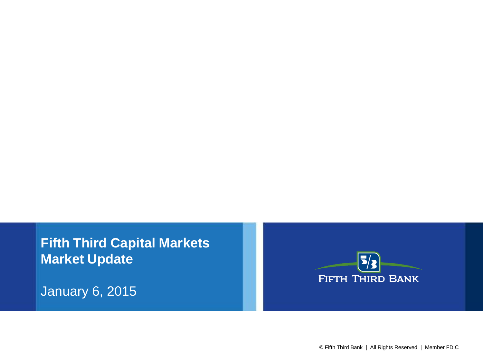**Fifth Third Capital Markets Market Update**

January 6, 2015

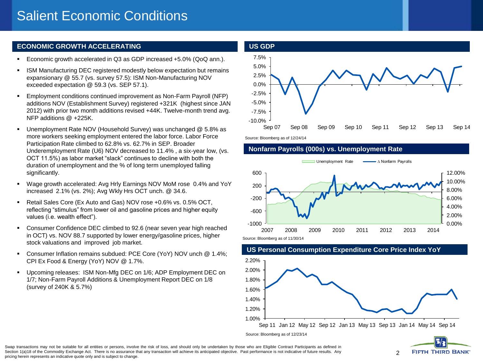## **ECONOMIC GROWTH ACCELERATING**

- Economic growth accelerated in Q3 as GDP increased +5.0% (QoQ ann.).
- ISM Manufacturing DEC registered modestly below expectation but remains expansionary @ 55.7 (vs. survey 57.5): ISM Non-Manufacturing NOV exceeded expectation @ 59.3 (vs. SEP 57.1).
- Employment conditions continued improvement as Non-Farm Payroll (NFP) additions NOV (Establishment Survey) registered +321K (highest since JAN 2012) with prior two month additions revised +44K. Twelve-month trend avg. NFP additions @ +225K.
- Unemployment Rate NOV (Household Survey) was unchanged @ 5.8% as more workers seeking employment entered the labor force. Labor Force Participation Rate climbed to 62.8% vs. 62.7% in SEP. Broader Underemployment Rate (U6) NOV decreased to 11.4% , a six-year low, (vs. OCT 11.5%) as labor market "slack" continues to decline with both the duration of unemployment and the % of long term unemployed falling significantly.
- Wage growth accelerated: Avg Hrly Earnings NOV MoM rose 0.4% and YoY increased 2.1% (vs. 2%); Avg Wkly Hrs OCT unch. @ 34.6.
- Retail Sales Core (Ex Auto and Gas) NOV rose +0.6% vs. 0.5% OCT, reflecting "stimulus" from lower oil and gasoline prices and higher equity values (i.e. wealth effect").
- Consumer Confidence DEC climbed to 92.6 (near seven year high reached in OCT) vs. NOV 88.7 supported by lower energy/gasoline prices, higher stock valuations and improved job market.
- Consumer Inflation remains subdued: PCE Core (YoY) NOV unch @ 1.4%; CPI Ex Food & Energy (YoY) NOV @ 1.7%.
- Upcoming releases: ISM Non-Mfg DEC on 1/6; ADP Employment DEC on 1/7; Non-Farm Payroll Additions & Unemployment Report DEC on 1/8 (survey of 240K & 5.7%)



Source: Bloomberg as of 12/24/14

## **Nonfarm Payrolls (000s) vs. Unemployment Rate**



## 1.00% 1.20% 1.40% 1.60% 1.80% 2.00% 2.20% Sep 11 Jan 12 May 12 Sep 12 Jan 13 May 13 Sep 13 Jan 14 May 14 Sep 14

### **US Personal Consumption Expenditure Core Price Index YoY**

Source: Bloomberg as of 12/23/14



Swap transactions may not be suitable for all entities or persons, involve the risk of loss, and should only be undertaken by those who are Eligible Contract Participants as defined in Section 1(a)18 of the Commodity Exchange Act. There is no assurance that any transaction will achieve its anticipated objective. Past performance is not indicative of future results. Any pricing herein represents an indicative quote only and is subject to change.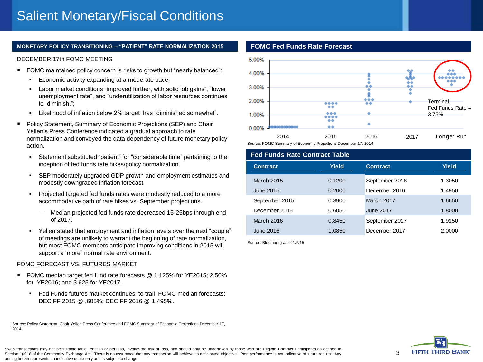#### **MONETARY POLICY TRANSITIONING – "PATIENT" RATE NORMALIZATION 2015 FOMC Fed Funds Rate Forecast**

#### DECEMBER 17th FOMC MEETING

- FOMC maintained policy concern is risks to growth but "nearly balanced":
	- **Example 2** Economic activity expanding at a moderate pace;
	- Labor market conditions "improved further, with solid job gains", "lower unemployment rate", and "underutilization of labor resources continues to diminish.";
	- Likelihood of inflation below 2% target has "diminished somewhat".
- **Policy Statement, Summary of Economic Projections (SEP) and Chair** Yellen's Press Conference indicated a gradual approach to rate normalization and conveyed the data dependency of future monetary policy action.
	- Statement substituted "patient" for "considerable time" pertaining to the inception of fed funds rate hikes/policy normalization.
	- SEP moderately upgraded GDP growth and employment estimates and modestly downgraded inflation forecast.
	- **Projected targeted fed funds rates were modestly reduced to a more** accommodative path of rate hikes vs. September projections.
		- Median projected fed funds rate decreased 15-25bps through end of 2017.
	- Yellen stated that employment and inflation levels over the next "couple" of meetings are unlikely to warrant the beginning of rate normalization, but most FOMC members anticipate improving conditions in 2015 will support a 'more" normal rate environment.

#### FOMC FORECAST VS. FUTURES MARKET

- FOMC median target fed fund rate forecasts @ 1.125% for YE2015; 2.50% for YE2016; and 3.625 for YE2017.
	- Fed Funds futures market continues to trail FOMC median forecasts: DEC FF 2015 @ .605%; DEC FF 2016 @ 1.495%.

Source: Policy Statement, Chair Yellen Press Conference and FOMC Summary of Economic Projections December 17, 2014.



Source: FOMC Summary of Economic Projections December 17, 2014

| <b>Fed Funds Rate Contract Table</b> |        |                  |              |  |  |  |
|--------------------------------------|--------|------------------|--------------|--|--|--|
| <b>Contract</b>                      | Yield  | <b>Contract</b>  | <b>Yield</b> |  |  |  |
| <b>March 2015</b>                    | 0.1200 | September 2016   | 1.3050       |  |  |  |
| June 2015                            | 0.2000 | December 2016    | 1.4950       |  |  |  |
| September 2015                       | 0.3900 | March 2017       | 1.6650       |  |  |  |
| December 2015                        | 0.6050 | <b>June 2017</b> | 1.8000       |  |  |  |
| <b>March 2016</b>                    | 0.8450 | September 2017   | 1.9150       |  |  |  |
| June 2016                            | 1.0850 | December 2017    | 2.0000       |  |  |  |

Source: Bloomberg as of 1/5/15



Swap transactions may not be suitable for all entities or persons, involve the risk of loss, and should only be undertaken by those who are Eligible Contract Participants as defined in Section 1(a)18 of the Commodity Exchange Act. There is no assurance that any transaction will achieve its anticipated objective. Past performance is not indicative of future results. Any pricing herein represents an indicative quote only and is subject to change.

3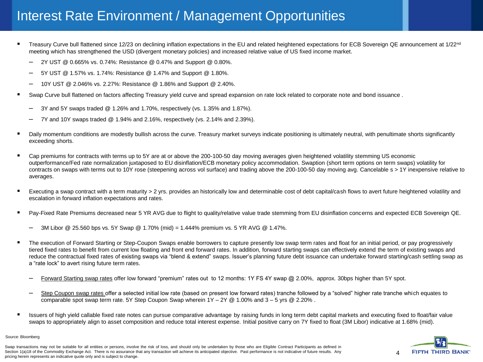## Interest Rate Environment / Management Opportunities

- Treasury Curve bull flattened since 12/23 on declining inflation expectations in the EU and related heightened expectations for ECB Sovereign QE announcement at 1/22<sup>nd</sup> meeting which has strengthened the USD (divergent monetary policies) and increased relative value of US fixed income market.
	- 2Y UST @ 0.665% vs. 0.74%: Resistance @ 0.47% and Support @ 0.80%.
	- 5Y UST @ 1.57% vs. 1.74%: Resistance @ 1.47% and Support @ 1.80%.
	- 10Y UST @ 2.046% vs. 2.27%: Resistance @ 1.86% and Support @ 2.40%.
- Swap Curve bull flattened on factors affecting Treasury yield curve and spread expansion on rate lock related to corporate note and bond issuance .
	- 3Y and 5Y swaps traded @ 1.26% and 1.70%, respectively (vs. 1.35% and 1.87%).
	- 7Y and 10Y swaps traded @ 1.94% and 2.16%, respectively (vs. 2.14% and 2.39%).
- Daily momentum conditions are modestly bullish across the curve. Treasury market surveys indicate positioning is ultimately neutral, with penultimate shorts significantly exceeding shorts.
- Cap premiums for contracts with terms up to 5Y are at or above the 200-100-50 day moving averages given heightened volatility stemming US economic outperformance/Fed rate normalization juxtaposed to EU disinflation/ECB monetary policy accommodation. Swaption (short term options on term swaps) volatility for contracts on swaps with terms out to 10Y rose (steepening across vol surface) and trading above the 200-100-50 day moving avg. Cancelable s > 1Y inexpensive relative to averages.
- Executing a swap contract with a term maturity > 2 yrs. provides an historically low and determinable cost of debt capital/cash flows to avert future heightened volatility and escalation in forward inflation expectations and rates.
- Pay-Fixed Rate Premiums decreased near 5 YR AVG due to flight to quality/relative value trade stemming from EU disinflation concerns and expected ECB Sovereign QE.
	- 3M Libor @ 25.560 bps vs. 5Y Swap @ 1.70% (mid) = 1.444% premium vs. 5 YR AVG @ 1.47%.
- The execution of Forward Starting or Step-Coupon Swaps enable borrowers to capture presently low swap term rates and float for an initial period, or pay progressively tiered fixed rates to benefit from current low floating and front end forward rates. In addition, forward starting swaps can effectively extend the term of existing swaps and reduce the contractual fixed rates of existing swaps via "blend & extend" swaps. Issuer's planning future debt issuance can undertake forward starting/cash settling swap as a "rate lock" to avert rising future term rates.
	- Forward Starting swap rates offer low forward "premium" rates out to 12 months: 1Y FS 4Y swap @ 2.00%, approx. 30bps higher than 5Y spot.
	- Step Coupon swap rates offer a selected initial low rate (based on present low forward rates) tranche followed by a "solved" higher rate tranche which equates to comparable spot swap term rate. 5Y Step Coupon Swap wherein  $1Y - 2Y \otimes 1.00\%$  and  $3 - 5$  yrs  $\otimes 2.20\%$ .
- Issuers of high yield callable fixed rate notes can pursue comparative advantage by raising funds in long term debt capital markets and executing fixed to float/fair value swaps to appropriately align to asset composition and reduce total interest expense. Initial positive carry on 7Y fixed to float (3M Libor) indicative at 1.68% (mid).

#### Source: Bloomberg

Swap transactions may not be suitable for all entities or persons, involve the risk of loss, and should only be undertaken by those who are Eligible Contract Participants as defined in Section 1(a)18 of the Commodity Exchange Act. There is no assurance that any transaction will achieve its anticipated objective. Past performance is not indicative of future results. Any pricing herein represents an indicative quote only and is subject to change.

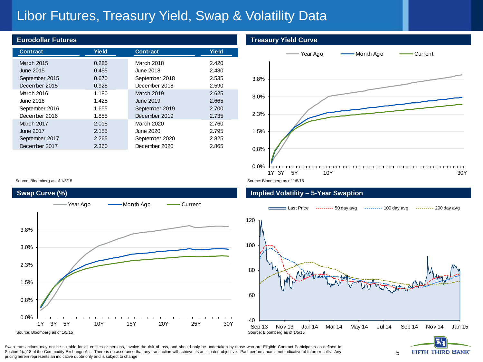# Libor Futures, Treasury Yield, Swap & Volatility Data

#### **Eurodollar Futures**

| <b>Contract</b>   | Yield | <b>Contract</b> | <b>Yield</b> |
|-------------------|-------|-----------------|--------------|
| <b>March 2015</b> | 0.285 | March 2018      | 2.420        |
| June 2015         | 0.455 | June 2018       | 2.480        |
| September 2015    | 0.670 | September 2018  | 2.535        |
| December 2015     | 0.925 | December 2018   | 2.590        |
| March 2016        | 1.180 | March 2019      | 2.625        |
| June 2016         | 1.425 | June 2019       | 2.665        |
| September 2016    | 1.655 | September 2019  | 2.700        |
| December 2016     | 1.855 | December 2019   | 2.735        |
| <b>March 2017</b> | 2.015 | March 2020      | 2.760        |
| <b>June 2017</b>  | 2.155 | June 2020       | 2.795        |
| September 2017    | 2.265 | September 2020  | 2.825        |
| December 2017     | 2.360 | December 2020   | 2.865        |

#### **Treasury Yield Curve**



#### **Implied Volatility – 5-Year Swaption**





5



Swap transactions may not be suitable for all entities or persons, involve the risk of loss, and should only be undertaken by those who are Eligible Contract Participants as defined in Section 1(a)18 of the Commodity Exchange Act. There is no assurance that any transaction will achieve its anticipated objective. Past performance is not indicative of future results. Any pricing herein represents an indicative quote only and is subject to change.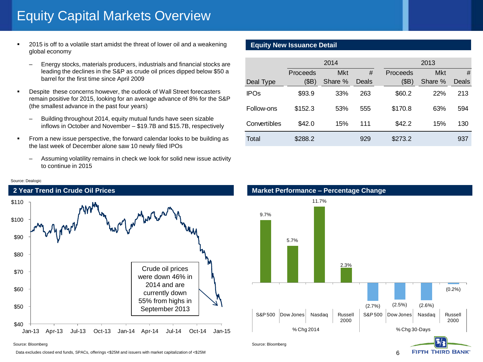# Equity Capital Markets Overview

- 2015 is off to a volatile start amidst the threat of lower oil and a weakening global economy
	- Energy stocks, materials producers, industrials and financial stocks are leading the declines in the S&P as crude oil prices dipped below \$50 a barrel for the first time since April 2009
- Despite these concerns however, the outlook of Wall Street forecasters remain positive for 2015, looking for an average advance of 8% for the S&P (the smallest advance in the past four years)
	- Building throughout 2014, equity mutual funds have seen sizable inflows in October and November – \$19.7B and \$15.7B, respectively
- From a new issue perspective, the forward calendar looks to be building as the last week of December alone saw 10 newly filed IPOs
	- Assuming volatility remains in check we look for solid new issue activity to continue in 2015

#### Source: Dealogic



Data excludes closed end funds, SPACs, offerings <\$25M and issuers with market capitalization of <\$25M

## **Equity New Issuance Detail**

|              |          | 2014       |       | 2013     |            |       |  |  |
|--------------|----------|------------|-------|----------|------------|-------|--|--|
|              | Proceeds | <b>Mkt</b> | #     | Proceeds | <b>Mkt</b> | #     |  |  |
| Deal Type    | (BB)     | Share %    | Deals | (BB)     | Share %    | Deals |  |  |
| <b>IPOs</b>  | \$93.9   | 33%        | 263   | \$60.2   | 22%        | 213   |  |  |
| Follow-ons   | \$152.3  | 53%        | 555   | \$170.8  | 63%        | 594   |  |  |
| Convertibles | \$42.0   | 15%        | 111   | \$42.2   | 15%        | 130   |  |  |
| Total        | \$288.2  |            | 929   | \$273.2  |            | 937   |  |  |

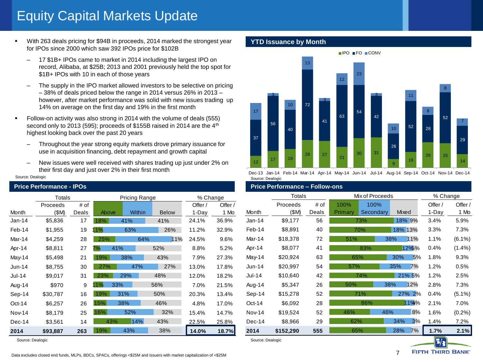# Equity Capital Markets Update

- With 263 deals pricing for \$94B in proceeds, 2014 marked the strongest year for IPOs since 2000 which saw 392 IPOs price for \$102B
	- 17 \$1B+ IPOs came to market in 2014 including the largest IPO on record, Alibaba, at \$25B; 2013 and 2001 previously held the top spot for \$1B+ IPOs with 10 in each of those years
	- The supply in the IPO market allowed investors to be selective on pricing – 38% of deals priced below the range in 2014 versus 26% in 2013 – however, after market performance was solid with new issues trading up 14% on average on the first day and 19% in the first month
- Follow-on activity was also strong in 2014 with the volume of deals (555) second only to 2013 (595); proceeds of \$155B raised in 2014 are the 4<sup>th</sup> highest looking back over the past 20 years
	- Throughout the year strong equity markets drove primary issuance for use in acquisition financing, debt repayment and growth capital
	- New issues were well received with shares trading up just under 2% on their first day and just over 2% in their first month

#### Source: Dealogic

|               | Totals   |       | Pricing Range |        |              | % Change |         |   |
|---------------|----------|-------|---------------|--------|--------------|----------|---------|---|
|               | Proceeds | # of  |               |        |              | Offer /  | Offer / |   |
| Month         | (SM)     | Deals | Above         | Within | <b>Below</b> | 1-Day    | 1 Mo    | Ŋ |
| $Jan-14$      | \$5,836  | 17    | 18%           | 41%    | 41%          | 24.1%    | 36.9%   |   |
| Feb-14        | \$1,955  | 19    | 11%           | 63%    | 26%          | 11.2%    | 32.9%   | F |
| Mar-14        | \$4,259  | 28    | 25%           | 64%    | 11%          | 24.5%    | 9.6%    | N |
| Apr-14        | \$8,811  | 27    | 41%<br>7%     |        | 52%          | 8.8%     | 5.2%    | ł |
| May-14        | \$5,498  | 21    | 19%           | 38%    | 43%          | 7.9%     | 27.3%   | N |
| $Jun-14$      | \$8,755  | 30    | 27%           | 47%    | 27%          | 13.0%    | 17.8%   | Ü |
| Jul-14        | \$9,017  | 31    | 23%           | 29%    | 48%          | 12.0%    | 18.2%   | J |
| Aug-14        | \$970    | 9     | 11%<br>33%    |        | 56%          | 7.0%     | 21.5%   | ŀ |
| Sep-14        | \$30,787 | 16    | 19%           | 31%    | 50%          | 20.3%    | 13.4%   | ς |
| $Oct-14$      | \$6,257  | 26    | 15%           | 38%    | 46%          | 4.8%     | 17.0%   |   |
| <b>Nov-14</b> | \$8,179  | 25    | 16%           | 52%    | 32%          | 15.4%    | 14.7%   |   |
| $Dec-14$      | \$3,561  | 14    | 43%           | 14%    | 43%          | 22.5%    | 25.8%   |   |
| 2014          | \$93,887 | 263   | 19%           | 43%    | 38%          | 14.0%    | 18.7%   |   |

#### Source: Dealogic Source: Dealogic Source: Dealogic Source: Dealogic Source: Dealogic

#### **YTD Issuance by Month**



Dec-13 Jan-14 Feb-14 Mar-14 Apr-14 May-14 Jun-14 Jul-14 Aug-14 Sep-14 Oct-14 Nov-14 Dec-14 Source: Dealogic

#### **Price Performance - IPOs Price Performance – Follow-ons**

|               | Totals    |       |         | Mix of Proceeds |         |        |         | % Change  |  |
|---------------|-----------|-------|---------|-----------------|---------|--------|---------|-----------|--|
|               | Proceeds  | # of  | 100%    | 100%            |         |        | Offer / | Offer /   |  |
| Month         | (SM)      | Deals | Primary | Secondary       | Mixed   |        | 1-Day   | 1 Mo      |  |
| $Jan-14$      | \$9,177   | 56    |         | 73%             | 18% 9%  |        | 3.4%    | 5.9%      |  |
| Feb-14        | \$8,891   | 40    |         | 70%             | 18% 13% |        | 3.3%    | 7.3%      |  |
| Mar-14        | \$18,378  | 72    | 51%     |                 | 38%     | 11%    | 1.1%    | $(6.1\%)$ |  |
| Apr-14        | \$8,077   | 41    |         | 83%             |         | 12%5%  | 0.4%    | $(1.4\%)$ |  |
| May-14        | \$20,924  | 63    | 65%     |                 | 30%     | 5%     | 1.8%    | 9.3%      |  |
| $Jun-14$      | \$20,997  | 54    | 57%     |                 | 35%     | 7%     | 1.2%    | 0.5%      |  |
| Jul-14        | \$10,640  | 42    |         | 74%             |         | 21% 5% | 1.2%    | 2.5%      |  |
| Aug-14        | \$5,347   | 26    | 50%     |                 | 38%     | 12%    | 2.8%    | 7.3%      |  |
| $Sep-14$      | \$15,278  | 52    |         | 71%             |         | 27% 2% | 0.4%    | $(5.1\%)$ |  |
| $Oct-14$      | \$6,092   | 28    |         | 86%             |         | 11%%   | 2.1%    | 7.0%      |  |
| <b>Nov-14</b> | \$19,524  | 52    | 46%     |                 | 46%     | 8%     | 1.6%    | $(0.2\%)$ |  |
| Dec-14        | \$8,966   | 29    | 62%     |                 | 34%     | 3%     | 1.4%    | 7.2%      |  |
| 2014          | \$152,290 | 555   | 65%     |                 | 28%     | 7%     | 1.7%    | 2.1%      |  |



7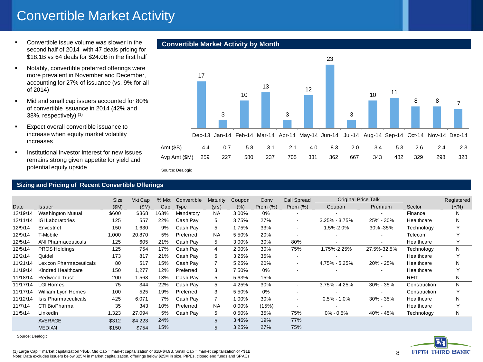# Convertible Market Activity

- **•** Convertible issue volume was slower in the second half of 2014 with 47 deals pricing for \$18.1B vs 64 deals for \$24.0B in the first half
- **Notably, convertible preferred offerings were** more prevalent in November and December, accounting for 27% of issuance (vs. 9% for all of 2014)
- Mid and small cap issuers accounted for 80% of convertible issuance in 2014 (42% and 38%, respectively) (1)
- **Expect overall convertible issuance to** increase when equity market volatility increases
- **Institutional investor interest for new issues** remains strong given appetite for yield and potential equity upside

#### **Sizing and Pricing of Recent Convertible Offerings**

|          | potomiai oquity apoiao                                    |       |         |       | Source: Dealogic |           |          |             |                          |                            |                          |              |            |
|----------|-----------------------------------------------------------|-------|---------|-------|------------------|-----------|----------|-------------|--------------------------|----------------------------|--------------------------|--------------|------------|
|          | <b>Sizing and Pricing of Recent Convertible Offerings</b> |       |         |       |                  |           |          |             |                          |                            |                          |              |            |
|          |                                                           | Size  | Mkt Cap | % Mkt | Convertible      | Maturity  | Coupon   | Conv        | Call Spread              | <b>Original Price Talk</b> |                          |              | Registered |
| Date     | <b>Issuer</b>                                             | (SM)  | (SM)    | Cap   | Type             | (yrs)     | (% )     | Prem $(\%)$ | Prem $(\%)$              | Coupon                     | Premium                  | Sector       | (Y/N)      |
| 12/19/14 | <b>Washington Mutual</b>                                  | \$600 | \$368   | 163%  | Mandatory        | <b>NA</b> | 3.00%    | 0%          |                          |                            |                          | Finance      | N          |
| 12/11/14 | <b>IGI Laboratories</b>                                   | 125   | 557     | 22%   | Cash Pay         | 5         | 3.75%    | 27%         |                          | $3.25\% - 3.75\%$          | 25% - 30%                | Healthcare   | N          |
| 12/9/14  | Envestnet                                                 | 150   | 1,630   | 9%    | Cash Pay         | 5         | 1.75%    | 33%         | $\overline{\phantom{a}}$ | 1.5%-2.0%                  | 30% - 35%                | Technology   |            |
| 12/9/14  | T-Mobile                                                  | 1,000 | 20,870  | 5%    | Preferred        | <b>NA</b> | 5.50%    | 20%         |                          |                            |                          | Telecom      |            |
| 12/5/14  | ANI Pharmaceuticals                                       | 125   | 605     | 21%   | Cash Pay         | 5         | 3.00%    | 30%         | 80%                      |                            |                          | Healthcare   | Y          |
| 12/5/14  | <b>PROS Holdings</b>                                      | 125   | 754     | 17%   | Cash Pay         | 4         | 2.00%    | 30%         | 75%                      | 1.75%-2.25%                | 27.5%-32.5%              | Technology   | N          |
| 12/2/14  | Quidel                                                    | 173   | 817     | 21%   | Cash Pay         | 6         | 3.25%    | 35%         |                          |                            |                          | Healthcare   |            |
| 11/21/14 | Lexicon Pharmaceuticals                                   | 80    | 517     | 15%   | Cash Pay         |           | 5.25%    | 20%         |                          | 4.75% - 5.25%              | 20% - 25%                | Healthcare   | N          |
| 11/19/14 | Kindred Healthcare                                        | 150   | 1,277   | 12%   | Preferred        | 3         | 7.50%    | 0%          |                          |                            |                          | Healthcare   | Υ          |
| 11/18/14 | <b>Redwood Trust</b>                                      | 200   | 1,568   | 13%   | Cash Pay         | 5         | 5.63%    | 15%         | $\overline{\phantom{a}}$ |                            | $\overline{\phantom{a}}$ | <b>REIT</b>  | N          |
| 11/17/14 | LGI Homes                                                 | 75    | 344     | 22%   | Cash Pay         | 5         | 4.25%    | 30%         | $\overline{\phantom{a}}$ | $3.75\% - 4.25\%$          | $30\% - 35\%$            | Construction | N          |
| 11/17/14 | William Lyon Homes                                        | 100   | 525     | 19%   | Preferred        | 3         | 5.50%    | 0%          |                          |                            |                          | Construction | Υ          |
| 11/12/14 | Isis Pharmaceuticals                                      | 425   | 6,071   | 7%    | Cash Pay         |           | 1.00%    | 30%         | $\overline{\phantom{a}}$ | $0.5\% - 1.0\%$            | $30\% - 35\%$            | Healthcare   | N          |
| 11/7/14  | CTI BioPharma                                             | 35    | 343     | 10%   | Preferred        | <b>NA</b> | $0.00\%$ | (15%)       |                          |                            |                          | Healthcare   |            |
| 11/5/14  | LinkedIn                                                  | 1,323 | 27,094  | 5%    | Cash Pay         | 5         | 0.50%    | 35%         | 75%                      | 0% - 0.5%                  | 40% - 45%                | Technology   | N          |
|          | AVERAGE                                                   | \$312 | \$4,223 | 24%   |                  | 5         | 3.46%    | 19%         | 77%                      |                            |                          |              |            |
|          | <b>MEDIAN</b>                                             | \$150 | \$754   | 15%   |                  | 5         | 3.25%    | 27%         | 75%                      |                            |                          |              |            |

Source: Dealogic

# **Convertible Market Activity by Month**

Source: Dealogic





(1) Large Cap = market capitalization >\$5B, Mid Cap = market capitalization of \$1B-\$4.9B, Small Cap = market capitalization of <\$1B Note: Data excludes issuers below \$25M in market capitalization, offerings below \$25M in size, PIPEs, closed end funds and SPACs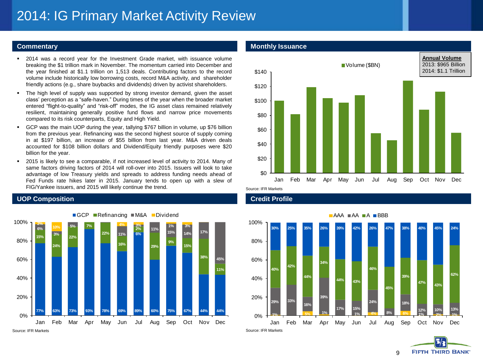# 2014: IG Primary Market Activity Review

- 2014 was a record year for the Investment Grade market, with issuance volume breaking the \$1 trillion mark in November. The momentum carried into December and the year finished at \$1.1 trillion on 1,513 deals. Contributing factors to the record volume include historically low borrowing costs, record M&A activity, and shareholder friendly actions (e.g., share buybacks and dividends) driven by activist shareholders.
- The high level of supply was supported by strong investor demand, given the asset class' perception as a "safe-haven." During times of the year when the broader market entered "flight-to-quality" and "risk-off" modes, the IG asset class remained relatively resilient, maintaining generally positive fund flows and narrow price movements compared to its risk counterparts, Equity and High Yield.
- GCP was the main UOP during the year, tallying \$767 billion in volume, up \$76 billion from the previous year. Refinancing was the second highest source of supply coming in at \$197 billion, an increase of \$55 billion from last year. M&A driven deals accounted for \$108 billion dollars and Dividend/Equity friendly purposes were \$20 billion for the year.
- 2015 is likely to see a comparable, if not increased level of activity to 2014. Many of same factors driving factors of 2014 will roll-over into 2015. Issuers will look to take advantage of low Treasury yields and spreads to address funding needs ahead of Fed Funds rate hikes later in 2015. January tends to open up with a slew of FIG/Yankee issuers, and 2015 will likely continue the trend.

## **UOP Composition Credit Profile**



### **Commentary <b>Commentary Monthly Issuance**



Source: IFR Markets



**FIFTH THIRD BANK** 9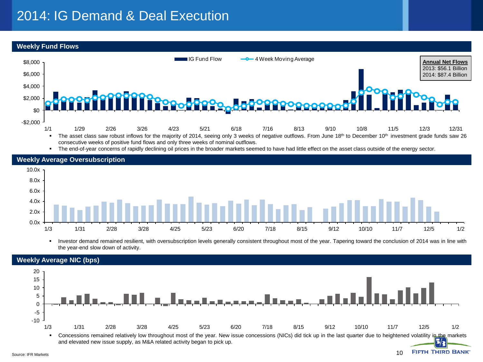# 2014: IG Demand & Deal Execution

**Weekly Fund Flows**



" The end-of-year concerns of rapidly declining oil prices in the broader markets seemed to have had little effect on the asset class outside of the energy sector.



• Investor demand remained resilient, with oversubscription levels generally consistent throughout most of the year. Tapering toward the conclusion of 2014 was in line with the year-end slow down of activity.

10

**FIFTH THIRD BANK** 



### **Weekly Average NIC (bps)**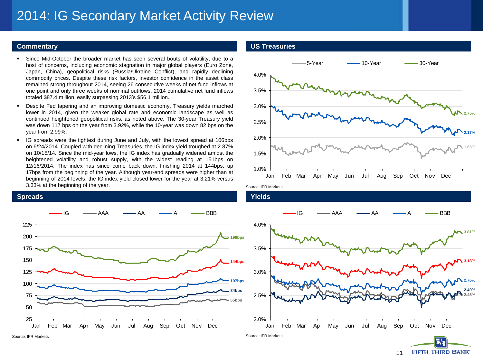# 2014: IG Secondary Market Activity Review

- Since Mid-October the broader market has seen several bouts of volatility, due to a host of concerns, including economic stagnation in major global players (Euro Zone, Japan, China), geopolitical risks (Russia/Ukraine Conflict), and rapidly declining commodity prices. Despite these risk factors, investor confidence in the asset class remained strong throughout 2014, seeing 26 consecutive weeks of net fund inflows at one point and only three weeks of nominal outflows. 2014 cumulative net fund inflows totaled \$87.4 million, easily surpassing 2013's \$56.1 million.
- Despite Fed tapering and an improving domestic economy, Treasury yields marched lower in 2014, given the weaker global rate and economic landscape as well as continued heightened geopolitical risks, as noted above. The 30-year Treasury yield was down 117 bps on the year from 3.92%, while the 10-year was down 82 bps on the year from 2.99%.
- IG spreads were the tightest during June and July, with the lowest spread at 106bps on 6/24/2014. Coupled with declining Treasuries, the IG index yield troughed at 2.87% on 10/15/14. Since the mid-year lows, the IG index has gradually widened amidst the heightened volatility and robust supply, with the widest reading at 151bps on 12/16/2014. The index has since come back down, finishing 2014 at 144bps, up 17bps from the beginning of the year. Although year-end spreads were higher than at beginning of 2014 levels, the IG index yield closed lower for the year at 3.21% versus 3.33% at the beginning of the year.



#### **Commentary US Treasuries**



Source: IFR Markets



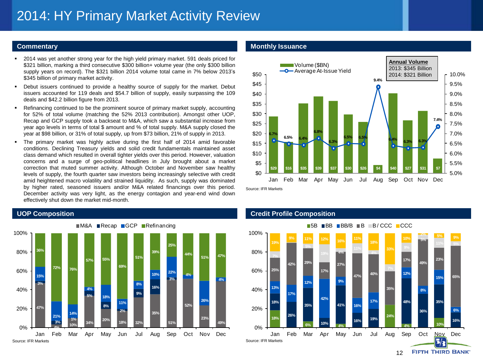- 2014 was yet another strong year for the high yield primary market. 591 deals priced for \$321 billion, marking a third consecutive \$300 billion+ volume year (the only \$300 billion supply years on record). The \$321 billion 2014 volume total came in 7% below 2013's \$345 billion of primary market activity.
- Debut issuers continued to provide a healthy source of supply for the market. Debut issuers accounted for 119 deals and \$54.7 billion of supply, easily surpassing the 109 deals and \$42.2 billion figure from 2013.
- Refinancing continued to be the prominent source of primary market supply, accounting for 52% of total volume (matching the 52% 2013 contribution). Amongst other UOP, Recap and GCP supply took a backseat to M&A, which saw a substantial increase from year ago levels in terms of total \$ amount and % of total supply. M&A supply closed the year at \$98 billion, or 31% of total supply, up from \$73 billion, 21% of supply in 2013.
- The primary market was highly active during the first half of 2014 amid favorable conditions. Declining Treasury yields and solid credit fundamentals maintained asset class demand which resulted in overall tighter yields over this period. However, valuation concerns and a surge of geo-political headlines in July brought about a market correction that muted summer activity. Although October and November saw healthy levels of supply, the fourth quarter saw investors being increasingly selective with credit amid heightened macro volatility and strained liquidity. As such, supply was dominated by higher rated, seasoned issuers and/or M&A related financings over this period. December activity was very light, as the energy contagion and year-end wind down effectively shut down the market mid-month.



### **Commentary <b>Alternative Commentary Commentary Monthly Issuance**



Source: IFR Markets

#### **UOP Composition Credit Profile Composition**

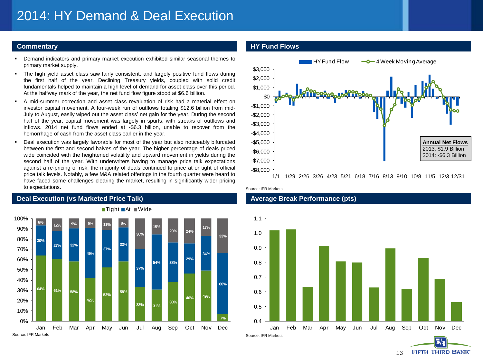- Demand indicators and primary market execution exhibited similar seasonal themes to primary market supply.
- The high yield asset class saw fairly consistent, and largely positive fund flows during the first half of the year. Declining Treasury yields, coupled with solid credit fundamentals helped to maintain a high level of demand for asset class over this period. At the halfway mark of the year, the net fund flow figure stood at \$6.6 billion.
- A mid-summer correction and asset class revaluation of risk had a material effect on investor capital movement. A four-week run of outflows totaling \$12.6 billion from mid-July to August, easily wiped out the asset class' net gain for the year. During the second half of the year, capital movement was largely in spurts, with streaks of outflows and inflows. 2014 net fund flows ended at -\$6.3 billion, unable to recover from the hemorrhage of cash from the asset class earlier in the year.
- Deal execution was largely favorable for most of the year but also noticeably bifurcated between the first and second halves of the year. The higher percentage of deals priced wide coincided with the heightened volatility and upward movement in yields during the second half of the year. With underwriters having to manage price talk expectations against a re-pricing of risk, the majority of deals continued to price at or tight of official price talk levels. Notably, a few M&A related offerings in the fourth quarter were heard to have faced some challenges clearing the market, resulting in significantly wider pricing to expectations.



## **Deal Execution (vs Marketed Price Talk) Average Break Performance (pts)**

### **Commentary HY Fund Flows**



Source: IFR Markets



13

**FIFTH THIRD BANK**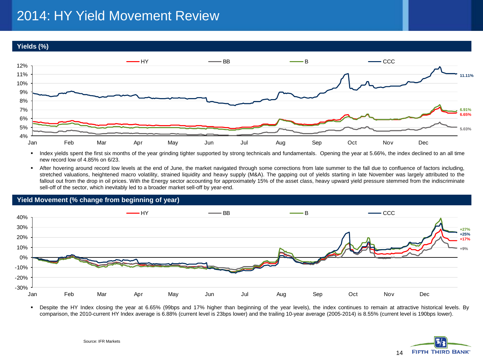# 2014: HY Yield Movement Review

**Yields (%)**



 Index yields spent the first six months of the year grinding tighter supported by strong technicals and fundamentals. Opening the year at 5.66%, the index declined to an all time new record low of 4.85% on 6/23.

 After hovering around record low levels at the end of June, the market navigated through some corrections from late summer to the fall due to confluence of factors including, stretched valuations, heightened macro volatility, strained liquidity and heavy supply (M&A). The gapping out of yields starting in late November was largely attributed to the fallout out from the drop in oil prices. With the Energy sector accounting for approximately 15% of the asset class, heavy upward yield pressure stemmed from the indiscriminate sell-off of the sector, which inevitably led to a broader market sell-off by year-end.



 Despite the HY Index closing the year at 6.65% (99bps and 17% higher than beginning of the year levels), the index continues to remain at attractive historical levels. By comparison, the 2010-current HY Index average is 6.88% (current level is 23bps lower) and the trailing 10-year average (2005-2014) is 8.55% (current level is 190bps lower).

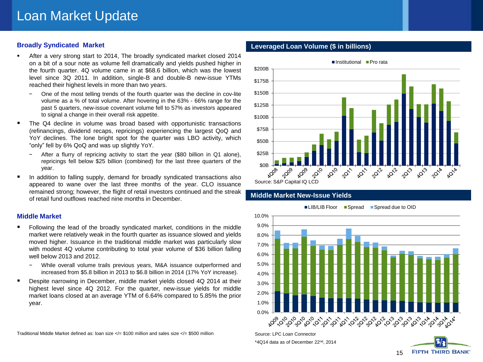## **Broadly Syndicated Market**

- After a very strong start to 2014, The broadly syndicated market closed 2014 on a bit of a sour note as volume fell dramatically and yields pushed higher in the fourth quarter. 4Q volume came in at \$68.6 billion, which was the lowest level since 3Q 2011. In addition, single-B and double-B new-issue YTMs reached their highest levels in more than two years.
	- − One of the most telling trends of the fourth quarter was the decline in cov-lite volume as a % of total volume. After hovering in the 63% - 66% range for the past 5 quarters, new-issue covenant volume fell to 57% as investors appeared to signal a change in their overall risk appetite.
- The Q4 decline in volume was broad based with opportunistic transactions (refinancings, dividend recaps, repricings) experiencing the largest QoQ and YoY declines. The lone bright spot for the quarter was LBO activity, which "only" fell by 6% QoQ and was up slightly YoY.
	- After a flurry of repricing activity to start the year (\$80 billion in Q1 alone), repricings fell below \$25 billion (combined) for the last three quarters of the year.
- In addition to falling supply, demand for broadly syndicated transactions also appeared to wane over the last three months of the year. CLO issuance remained strong; however, the flight of retail investors continued and the streak of retail fund outflows reached nine months in December.

#### **Middle Market**

- Following the lead of the broadly syndicated market, conditions in the middle market were relatively weak in the fourth quarter as issuance slowed and yields moved higher. Issuance in the traditional middle market was particularly slow with modest 4Q volume contributing to total year volume of \$36 billion falling well below 2013 and 2012.
	- − While overall volume trails previous years, M&A issuance outperformed and increased from \$5.8 billion in 2013 to \$6.8 billion in 2014 (17% YoY increase).
- Despite narrowing in December, middle market yields closed 4Q 2014 at their highest level since 4Q 2012. For the quarter, new-issue yields for middle market loans closed at an average YTM of 6.64% compared to 5.85% the prior year.

Traditional Middle Market defined as: loan size  $\lt\lt=$  \$100 million and sales size  $\lt\lt=$  \$500 million

### **Leveraged Loan Volume (\$ in billions)**



### **Middle Market New-Issue Yields**



Source: LPC Loan Connector \*4Q14 data as of December 22nd, 2014

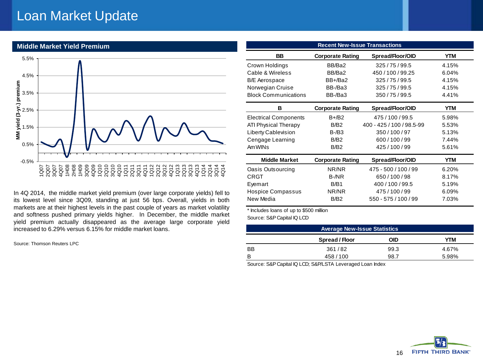## Loan Market Update



In 4Q 2014, the middle market yield premium (over large corporate yields) fell to its lowest level since 3Q09, standing at just 56 bps. Overall, yields in both markets are at their highest levels in the past couple of years as market volatility and softness pushed primary yields higher. In December, the middle market yield premium actually disappeared as the average large corporate yield increased to 6.29% versus 6.15% for middle market loans.

Source: Thomson Reuters LPC

| <b>Recent New-Issue Transactions</b> |                         |                           |       |  |  |  |
|--------------------------------------|-------------------------|---------------------------|-------|--|--|--|
| <b>BB</b>                            | <b>Corporate Rating</b> | Spread/Floor/OID          | YTM   |  |  |  |
| Crown Holdings                       | BB/Ba2                  | 325/75/99.5               | 4.15% |  |  |  |
| Cable & Wireless                     | BB/Ba2                  | 450 / 100 / 99.25         | 6.04% |  |  |  |
| <b>B/E</b> Aerospace                 | BB+/Ba2                 | 325/75/99.5               | 4.15% |  |  |  |
| Norwegian Cruise                     | BB-/Ba3                 | 325/75/99.5               | 4.15% |  |  |  |
| <b>Block Communications</b>          | BB-/Ba3                 | 350/75/99.5               | 4.41% |  |  |  |
| в                                    | <b>Corporate Rating</b> | Spread/Floor/OID          | YTM   |  |  |  |
| <b>Electrical Components</b>         | $B + / B2$              | 475/100/99.5              | 5.98% |  |  |  |
| ATI Physical Therapy                 | B/B <sub>2</sub>        | 400 - 425 / 100 / 98.5-99 | 5.53% |  |  |  |
| <b>Liberty Cablevision</b>           | $B - / B3$              | 350/100/97                | 5.13% |  |  |  |
| Cengage Learning                     | B/B <sub>2</sub>        | 600/100/99                | 7.44% |  |  |  |
| Am WIN <sub>S</sub>                  | B/B2                    | 425/100/99                | 5.61% |  |  |  |
| <b>Middle Market</b>                 | <b>Corporate Rating</b> | Spread/Floor/OID          | YTM   |  |  |  |
| Oasis Outsourcing                    | NR/NR                   | 475 - 500 / 100 / 99      | 6.20% |  |  |  |
| CRGT                                 | B-/NR                   | 650/100/98                | 8.17% |  |  |  |
| Evemart                              | B/B1                    | 400/100/99.5              | 5.19% |  |  |  |
| Hospice Compassus                    | NR/NR                   | 475/100/99                | 6.09% |  |  |  |
| New Media                            | B/B <sub>2</sub>        | 550 - 575 / 100 / 99      | 7.03% |  |  |  |

\* Includes loans of up to \$500 million

Source: S&P Capital IQ LCD

| <b>Average New-Issue Statistics</b> |                |      |       |  |  |  |
|-------------------------------------|----------------|------|-------|--|--|--|
|                                     | Spread / Floor | OID  | ΥТΜ   |  |  |  |
| BB                                  | 361/82         | 99.3 | 4.67% |  |  |  |
| в                                   | 458 / 100      | 98.7 | 5.98% |  |  |  |

Source: S&P Capital IQ LCD; S&P/LSTA Leveraged Loan Index

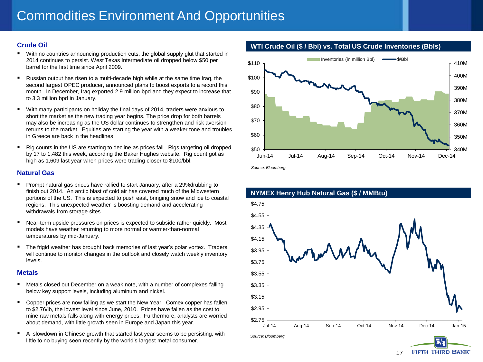## **Crude Oil**

- With no countries announcing production cuts, the global supply glut that started in 2014 continues to persist. West Texas Intermediate oil dropped below \$50 per barrel for the first time since April 2009.
- Russian output has risen to a multi-decade high while at the same time Iraq, the second largest OPEC producer, announced plans to boost exports to a record this month. In December, Iraq exported 2.9 million bpd and they expect to increase that to 3.3 million bpd in January.
- With many participants on holiday the final days of 2014, traders were anxious to short the market as the new trading year begins. The price drop for both barrels may also be increasing as the US dollar continues to strengthen and risk aversion returns to the market. Equities are starting the year with a weaker tone and troubles in Greece are back in the headlines.
- Rig counts in the US are starting to decline as prices fall. Rigs targeting oil dropped by 17 to 1,482 this week, according the Baker Hughes website. Rig count got as high as 1,609 last year when prices were trading closer to \$100/bbl.

### **Natural Gas**

- Prompt natural gas prices have rallied to start January, after a 29%drubbing to finish out 2014. An arctic blast of cold air has covered much of the Midwestern portions of the US. This is expected to push east, bringing snow and ice to coastal regions. This unexpected weather is boosting demand and accelerating withdrawals from storage sites.
- Near-term upside pressures on prices is expected to subside rather quickly. Most models have weather returning to more normal or warmer-than-normal temperatures by mid-January.
- **The frigid weather has brought back memories of last year's polar vortex. Traders** will continue to monitor changes in the outlook and closely watch weekly inventory levels.

#### **Metals**

- Metals closed out December on a weak note, with a number of complexes falling below key support levels, including aluminum and nickel.
- Copper prices are now falling as we start the New Year. Comex copper has fallen to \$2.76/lb, the lowest level since June, 2010. Prices have fallen as the cost to mine raw metals falls along with energy prices. Furthermore, analysts are worried about demand, with little growth seen in Europe and Japan this year.
- A slowdown in Chinese growth that started last year seems to be persisting, with little to no buying seen recently by the world's largest metal consumer.





*Source: Bloomberg*



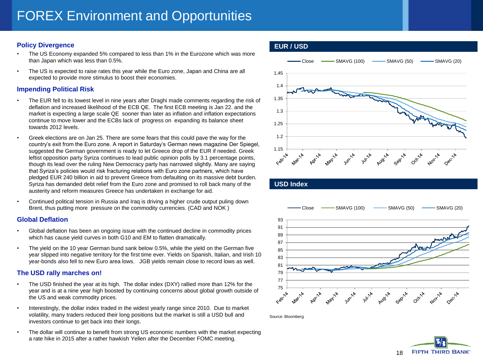## **Policy Divergence**

- The US Economy expanded 5% compared to less than 1% in the Eurozone which was more than Japan which was less than 0.5%.
- The US is expected to raise rates this year while the Euro zone, Japan and China are all expected to provide more stimulus to boost their economies.

### **Impending Political Risk**

- The EUR fell to its lowest level in nine years after Draghi made comments regarding the risk of deflation and increased likelihood of the ECB QE. The first ECB meeting is Jan 22. and the market is expecting a large scale QE sooner than later as inflation and inflation expectations continue to move lower and the ECBs lack of progress on expanding its balance sheet towards 2012 levels.
- Greek elections are on Jan 25. There are some fears that this could pave the way for the country's exit from the Euro zone. A report in Saturday's German news magazine Der Spiegel, suggested the German government is ready to let Greece drop of the EUR if needed. Greek leftist opposition party Syriza continues to lead public opinion polls by 3.1 percentage points, though its lead over the ruling New Democracy party has narrowed slightly. Many are saying that Syriza's policies would risk fracturing relations with Euro zone partners, which have pledged EUR 240 billion in aid to prevent Greece from defaulting on its massive debt burden. Syriza has demanded debt relief from the Euro zone and promised to roll back many of the austerity and reform measures Greece has undertaken in exchange for aid.
- Continued political tension in Russia and Iraq is driving a higher crude output puling down Brent, thus putting more pressure on the commodity currencies. (CAD and NOK )

#### **Global Deflation**

- Global deflation has been an ongoing issue with the continued decline in commodity prices which has cause yield curves in both G10 and EM to flatten dramatically.
- The yield on the 10 year German bund sank below 0.5%, while the yield on the German five year slipped into negative territory for the first time ever. Yields on Spanish, Italian, and Irish 10 year-bonds also fell to new Euro area lows. JGB yields remain close to record lows as well.

## **The USD rally marches on!**

- The USD finished the year at its high. The dollar index (DXY) rallied more than 12% for the year and is at a nine year high boosted by continuing concerns about global growth outside of the US and weak commodity prices.
- Interestingly, the dollar index traded in the widest yearly range since 2010. Due to market volatility, many traders reduced their long positions but the market is still a USD bull and investors continue to get back into their longs.
- The dollar will continue to benefit from strong US economic numbers with the market expecting a rate hike in 2015 after a rather hawkish Yellen after the December FOMC meeting.







Source: Bloomberg

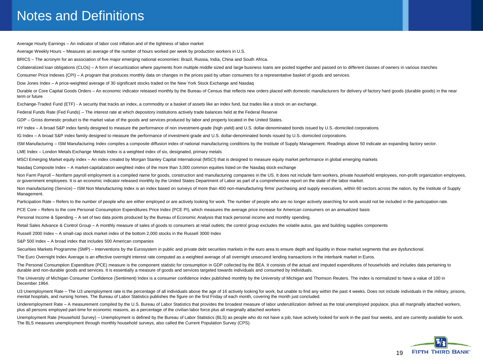## Notes and Definitions

Average Hourly Earnings – An indicator of labor cost inflation and of the tightness of labor market Average Weekly Hours – Measures an average of the number of hours worked per week by production workers in U.S. BRICS – The acronym for an association of five major emerging national economies: Brazil, Russia, India, China and South Africa. Collateralized loan obligations (CLOs) – A form of securitization where payments from multiple middle sized and large business loans are pooled together and passed on to different classes of owners in various tranches Consumer Price Indexes (CPI) – A program that produces monthly data on changes in the prices paid by urban consumers for a representative basket of goods and services. Dow Jones Index – A price-weighted average of 30 significant stocks traded on the New York Stock Exchange and Nasdaq Durable or Core Capital Goods Orders – An economic indicator released monthly by the Bureau of Census that reflects new orders placed with domestic manufacturers for delivery of factory hard goods (durable goods) in the ne term or future Exchange-Traded Fund (ETF) - A security that tracks an index, a commodity or a basket of assets like an index fund, but trades like a stock on an exchange. Federal Funds Rate (Fed Funds) – The interest rate at which depository institutions actively trade balances held at the Federal Reserve GDP – Gross domestic product is the market value of the goods and services produced by labor and property located in the United States. HY Index – A broad S&P index family designed to measure the performance of non investment-grade (high yield) and U.S. dollar-denominated bonds issued by U.S.-domiciled corporations. IG Index – A broad S&P index family designed to measure the performance of investment-grade and U.S. dollar-denominated bonds issued by U.S.-domiciled corporations. ISM Manufacturing – ISM Manufacturing Index compiles a composite diffusion index of national manufacturing conditions by the Institute of Supply Management. Readings above 50 indicate an expanding factory sector. LME Index – London Metals Exchange Metals Index is a weighted index of six, designated, primary metals MSCI Emerging Market equity index – An index created by Morgan Stanley Capital International (MSCI) that is designed to measure equity market performance in global emerging markets Nasdaq Composite Index – A market-capitalization weighted index of the more than 3,000 common equities listed on the Nasdaq stock exchange Non Farm Payroll - Nonfarm payroll employment is a compiled name for goods, construction and manufacturing companies in the US. It does not include farm workers, private household employees, non-profit organization employe or government employees. It is an economic indicator released monthly by the United States Department of Labor as part of a comprehensive report on the state of the labor market. Non manufacturing (Service) - ISM Non Manufacturing Index is an index based on surveys of more than 400 non-manufacturing firms' purchasing and supply executives, within 60 sectors across the nation, by the Institute of Su Management.

Participation Rate - Refers to the number of people who are either employed or are actively looking for work. The number of people who are no longer actively searching for work would not be included in the participation ra

PCE Core – Refers to the core Personal Consumption Expenditures Price Index (PCE PI), which measures the average price increase for American consumers on an annualized basis

Personal Income & Spending – A set of two data points produced by the Bureau of Economic Analysis that track personal income and monthly spending.

Retail Sales Advance & Control Group - A monthly measure of sales of goods to consumers at retail outlets; the control group excludes the volatile autos, gas and building supplies components

Russell 2000 Index – A small-cap stock market index of the bottom 2,000 stocks in the Russell 3000 Index

S&P 500 Index – A broad index that includes 500 American companies

Securities Markets Programme (SMP) – Interventions by the Eurosystem in public and private debt securities markets in the euro area to ensure depth and liquidity in those market segments that are dysfunctional.

The Euro Overnight Index Average is an effective overnight interest rate computed as a weighted average of all overnight unsecured lending transactions in the interbank market in Euros.

The Personal Consumption Expenditure (PCE) measure is the component statistic for consumption in GDP collected by the BEA. It consists of the actual and imputed expenditures of households and includes data pertaining to durable and non-durable goods and services. It is essentially a measure of goods and services targeted towards individuals and consumed by individuals.

The University of Michigan Consumer Confidence (Sentiment) Index is a consumer confidence index published monthly by the University of Michigan and Thomson Reuters. The index is normalized to have a value of 100 in December 1964.

U3 Unemployment Rate - The U3 unemployment rate is the percentage of all individuals above the age of 16 actively looking for work, but unable to find any within the past 4 weeks. Does not include individuals in the milita mental hospitals, and nursing homes. The Bureau of Labor Statistics publishes the figure on the first Friday of each month, covering the month just concluded.

Underemployment Rate - A measurement compiled by the U.S. Bureau of Labor Statistics that provides the broadest measure of labor underutilization defined as the total unemployed populace, plus all marginally attached worke plus all persons employed part-time for economic reasons, as a percentage of the civilian labor force plus all marginally attached workers

Unemployment Rate (Household Survey) - Unemployment is defined by the Bureau of Labor Statistics (BLS) as people who do not have a job, have actively looked for work in the past four weeks, and are currently available for The BLS measures unemployment through monthly household surveys, also called the Current Population Survey (CPS).